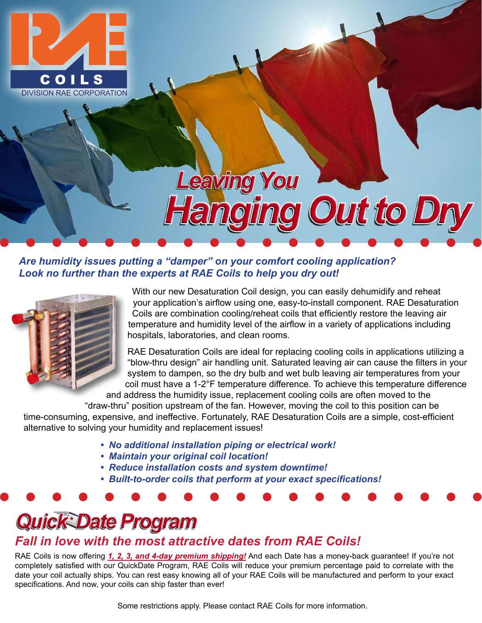

# **Leaving You Janging Out to Dry**

*Are humidity issues putting a "damper" on your comfort cooling application? Look no further than the experts at RAE Coils to help you dry out!*



With our new Desaturation Coil design, you can easily dehumidify and reheat your application's airflow using one, easy-to-install component. RAE Desaturation Coils are combination cooling/reheat coils that efficiently restore the leaving air temperature and humidity level of the airflow in a variety of applications including hospitals, laboratories, and clean rooms.

RAE Desaturation Coils are ideal for replacing cooling coils in applications utilizing a "blow-thru design" air handling unit. Saturated leaving air can cause the filters in your system to dampen, so the dry bulb and wet bulb leaving air temperatures from your coil must have a 1-2°F temperature difference. To achieve this temperature difference and address the humidity issue, replacement cooling coils are often moved to the

"draw-thru" position upstream of the fan. However, moving the coil to this position can be time-consuming, expensive, and ineffective. Fortunately, RAE Desaturation Coils are a simple, cost-efficient alternative to solving your humidity and replacement issues!

- *No additional installation piping or electrical work!*
- *Maintain your original coil location!*
- *Reduce installation costs and system downtime!*
- *Built-to-order coils that perform at your exact specifications!*

# **Quick Date Program**

### *Fall in love with the most attractive dates from RAE Coils!*

RAE Coils is now offering *1, 2, 3, and 4-day premium shipping!* And each Date has a money-back guarantee! If you're not completely satisfied with our QuickDate Program, RAE Coils will reduce your premium percentage paid to correlate with the date your coil actually ships. You can rest easy knowing all of your RAE Coils will be manufactured and perform to your exact specifications. And now, your coils can ship faster than ever!

Some restrictions apply. Please contact RAE Coils for more information.